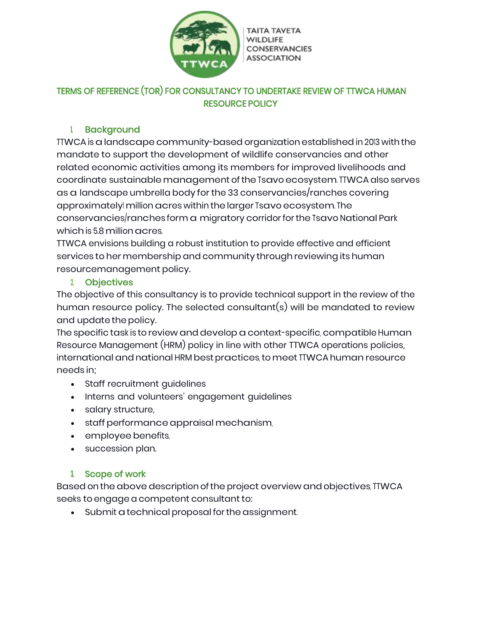

**TAITA TAVETA WILDLIFE CONSERVANCIES ASSOCIATION** 

# TERMS OF REFERENCE (TOR) FOR CONSULTANCY TO UNDERTAKE REVIEW OF TTWCA HUMAN RESOURCE POLICY

# 1. Background

TTWCA is a landscape community-based organization established in 2013 with the mandate to support the development of wildlife conservancies and other related economic activities among its members for improved livelihoods and coordinate sustainable management of the Tsavo ecosystem. TTWCA also serves as a landscape umbrella body for the 33 conservancies/ranches covering approximately million acres within the larger Tsavo ecosystem. The conservancies/ranches form a migratory corridor for the Tsavo National Park which is 5.8 million acres.

TTWCA envisions building a robust institution to provide effective and efficient services to her membership and community through reviewing its human resourcemanagement policy.

#### 2. Objectives

The objective of this consultancy is to provide technical support in the review of the human resource policy. The selected consultant(s) will be mandated to review and update the policy.

The specific task is to review and develop acontext-specific, compatible Human Resource Management (HRM) policy in line with other TTWCA operations policies, international and national HRM best practices, to meet TTWCA human resource needs in;

- Staff recruitment guidelines
- Interns and volunteers' engagement guidelines
- salary structure,
- staff performance appraisal mechanism,
- employee benefits,
- succession plan.

## 3. Scope of work

Based on the above description of the project overview and objectives, TTWCA seeks to engage a competent consultant to:

 $\bullet$  Submit a technical proposal for the assignment.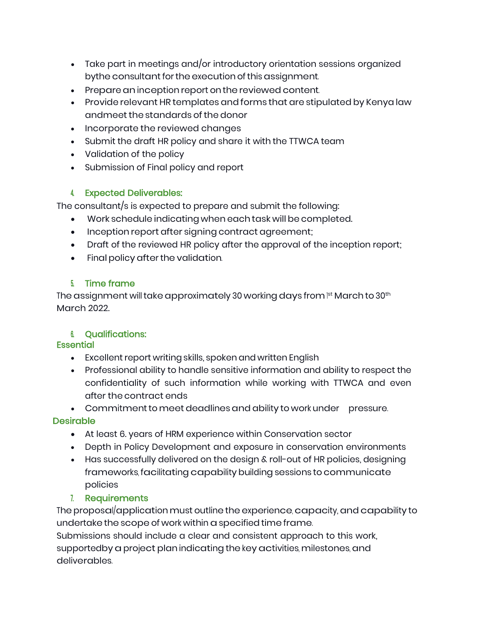- Take part in meetings and/or introductory orientation sessions organized bythe consultant for the execution of this assignment.
- Prepare an inception report on the reviewed content.
- Provide relevant HR templates and forms that are stipulated by Kenya law andmeetthe standards ofthe donor
- Incorporate the reviewed changes
- Submit the draft HR policy and share it with the TTWCA team
- Validation of the policy
- Submission of Final policy and report

#### 4. Expected Deliverables:

The consultant/s is expected to prepare and submit the following:

- Work schedule indicating when each task will be completed.
- Inception report after signing contract agreement;
- Draft of the reviewed HR policy after the approval of the inception report;
- Final policy after the validation.

## 5. Time frame

The assignment will take approximately 30 working days from  $\text{\tiny \text{I}}^{\text{\tiny \text{st}}}$  March to 30th March 2022.

## 6. Qualifications:

#### **Essential**

- Excellent report writing skills, spoken and written English
- Professional ability to handle sensitive information and ability to respect the confidentiality of such information while working with TTWCA and even after the contract ends

• Commitment to meet deadlines and ability to work under pressure.

## **Desirable**

- At least 6. years of HRM experience within Conservation sector
- Depth in Policy Development and exposure in conservation environments
- Has successfully delivered on the design & roll-out of HR policies, designing frameworks, facilitating capability building sessions to communicate policies

## 7. Requirements

The proposal/application must outline the experience, capacity, and capability to undertake the scope of work within aspecified time frame. Submissions should include a clear and consistent approach to this work, supportedby a project plan indicating the key activities, milestones, and deliverables.